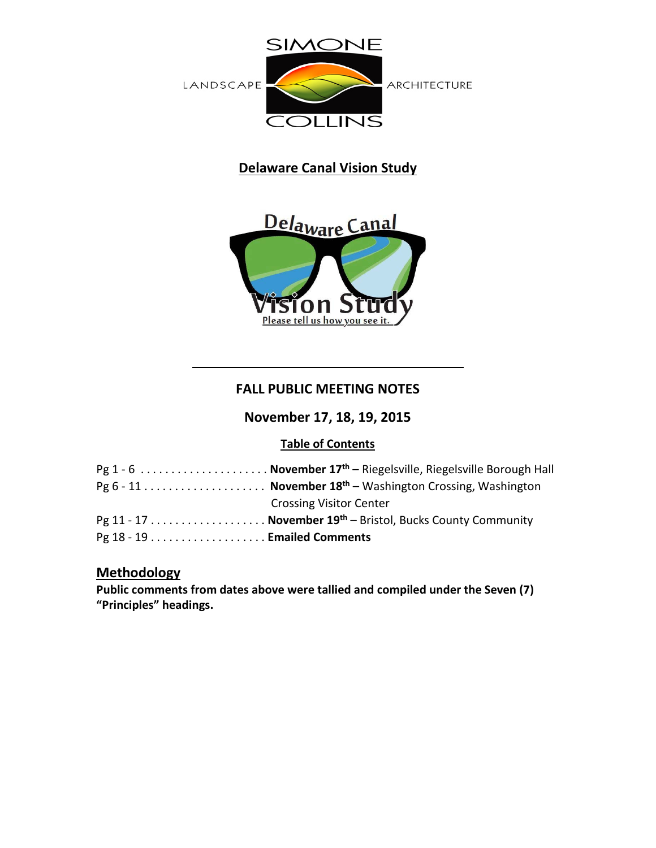

# **Delaware Canal Vision Study**



# **FALL PUBLIC MEETING NOTES**

**November 17, 18, 19, 2015**

# **Table of Contents**

| Pg 1 - 6  November $17th$ – Riegelsville, Riegelsville Borough Hall |
|---------------------------------------------------------------------|
|                                                                     |
| <b>Crossing Visitor Center</b>                                      |
|                                                                     |
|                                                                     |

# **Methodology**

**Public comments from dates above were tallied and compiled under the Seven (7) "Principles" headings.**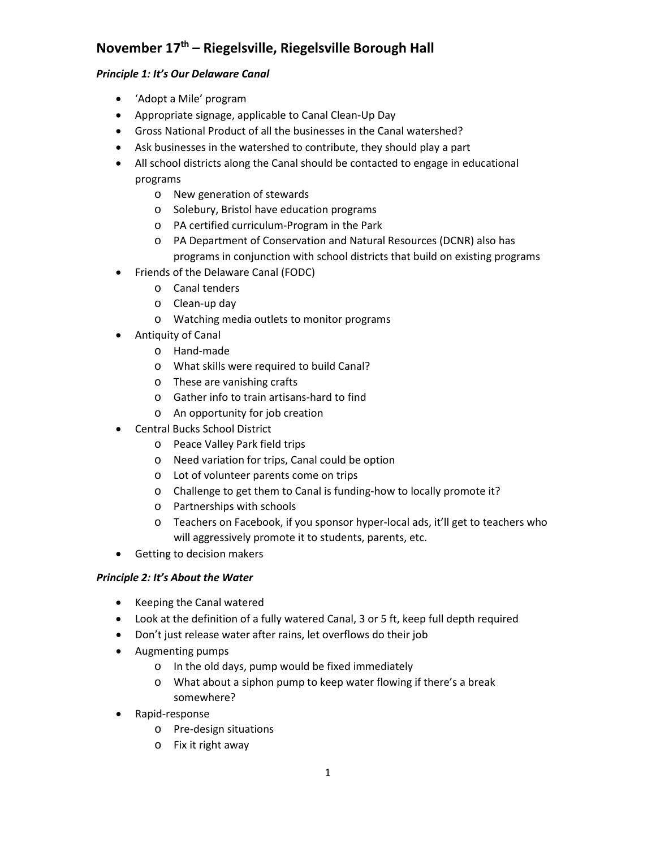# **November 17th – Riegelsville, Riegelsville Borough Hall**

## *Principle 1: It's Our Delaware Canal*

- 'Adopt a Mile' program
- Appropriate signage, applicable to Canal Clean-Up Day
- Gross National Product of all the businesses in the Canal watershed?
- Ask businesses in the watershed to contribute, they should play a part
- All school districts along the Canal should be contacted to engage in educational programs
	- o New generation of stewards
	- o Solebury, Bristol have education programs
	- o PA certified curriculum-Program in the Park
	- o PA Department of Conservation and Natural Resources (DCNR) also has programs in conjunction with school districts that build on existing programs
- Friends of the Delaware Canal (FODC)
	- o Canal tenders
	- o Clean-up day
	- o Watching media outlets to monitor programs
- Antiquity of Canal
	- o Hand-made
	- o What skills were required to build Canal?
	- o These are vanishing crafts
	- o Gather info to train artisans-hard to find
	- o An opportunity for job creation
- Central Bucks School District
	- o Peace Valley Park field trips
	- o Need variation for trips, Canal could be option
	- o Lot of volunteer parents come on trips
	- o Challenge to get them to Canal is funding-how to locally promote it?
	- o Partnerships with schools
	- o Teachers on Facebook, if you sponsor hyper-local ads, it'll get to teachers who will aggressively promote it to students, parents, etc.
- Getting to decision makers

## *Principle 2: It's About the Water*

- Keeping the Canal watered
- Look at the definition of a fully watered Canal, 3 or 5 ft, keep full depth required
- Don't just release water after rains, let overflows do their job
- Augmenting pumps
	- o In the old days, pump would be fixed immediately
	- o What about a siphon pump to keep water flowing if there's a break somewhere?
- Rapid-response
	- o Pre-design situations
	- o Fix it right away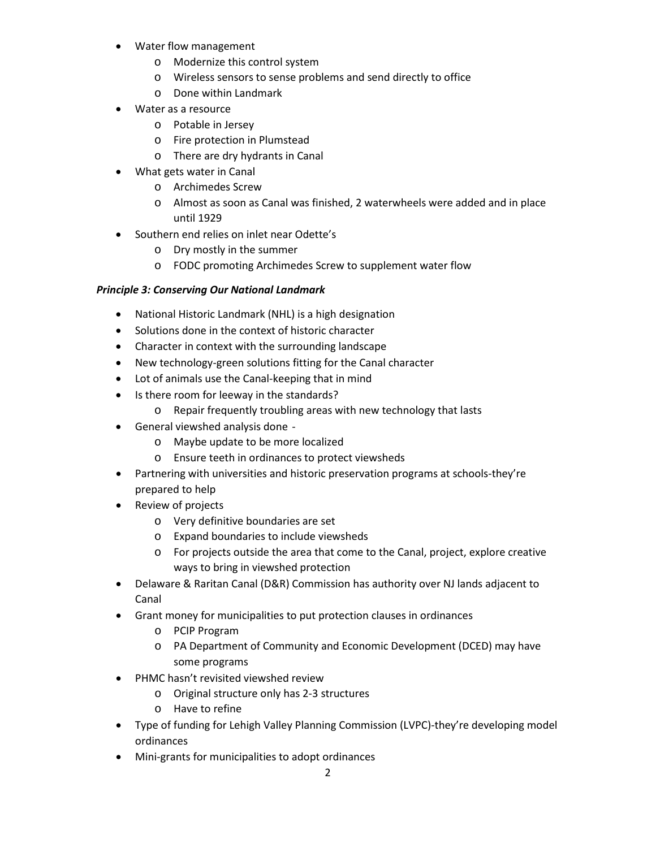- Water flow management
	- o Modernize this control system
	- o Wireless sensors to sense problems and send directly to office
	- o Done within Landmark
- Water as a resource
	- o Potable in Jersey
	- o Fire protection in Plumstead
	- o There are dry hydrants in Canal
- What gets water in Canal
	- o Archimedes Screw
	- o Almost as soon as Canal was finished, 2 waterwheels were added and in place until 1929
- Southern end relies on inlet near Odette's
	- o Dry mostly in the summer
	- o FODC promoting Archimedes Screw to supplement water flow

#### *Principle 3: Conserving Our National Landmark*

- National Historic Landmark (NHL) is a high designation
- Solutions done in the context of historic character
- Character in context with the surrounding landscape
- New technology-green solutions fitting for the Canal character
- Lot of animals use the Canal-keeping that in mind
- Is there room for leeway in the standards?
	- o Repair frequently troubling areas with new technology that lasts
- General viewshed analysis done
	- o Maybe update to be more localized
	- o Ensure teeth in ordinances to protect viewsheds
- Partnering with universities and historic preservation programs at schools-they're prepared to help
- Review of projects
	- o Very definitive boundaries are set
	- o Expand boundaries to include viewsheds
	- o For projects outside the area that come to the Canal, project, explore creative ways to bring in viewshed protection
- Delaware & Raritan Canal (D&R) Commission has authority over NJ lands adjacent to Canal
- Grant money for municipalities to put protection clauses in ordinances
	- o PCIP Program
	- o PA Department of Community and Economic Development (DCED) may have some programs
- PHMC hasn't revisited viewshed review
	- o Original structure only has 2-3 structures
	- o Have to refine
- Type of funding for Lehigh Valley Planning Commission (LVPC)-they're developing model ordinances
- Mini-grants for municipalities to adopt ordinances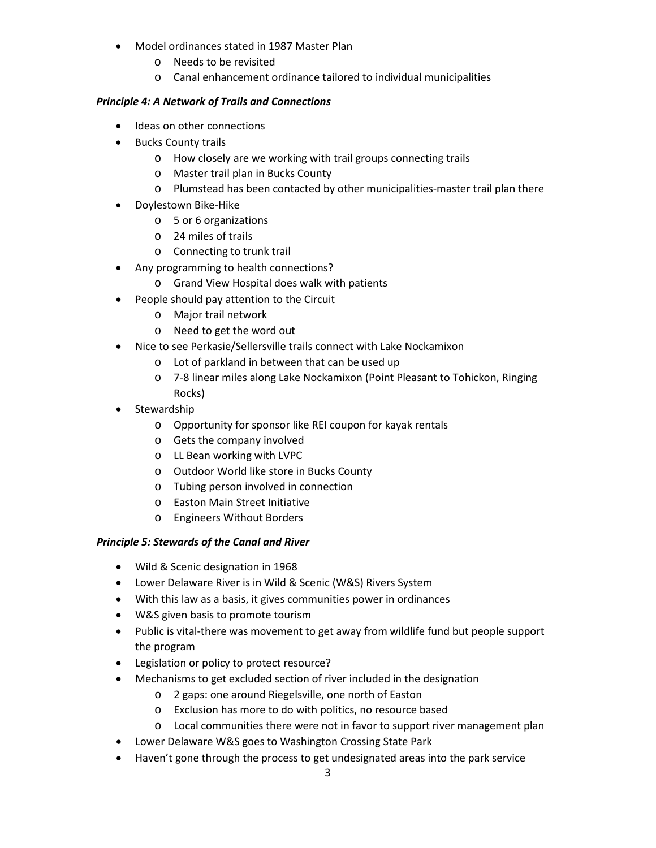- Model ordinances stated in 1987 Master Plan
	- o Needs to be revisited
	- o Canal enhancement ordinance tailored to individual municipalities

#### *Principle 4: A Network of Trails and Connections*

- Ideas on other connections
- Bucks County trails
	- o How closely are we working with trail groups connecting trails
	- o Master trail plan in Bucks County
	- o Plumstead has been contacted by other municipalities-master trail plan there
- Doylestown Bike-Hike
	- o 5 or 6 organizations
	- o 24 miles of trails
	- o Connecting to trunk trail
- Any programming to health connections?
	- o Grand View Hospital does walk with patients
- People should pay attention to the Circuit
	- o Major trail network
	- o Need to get the word out
- Nice to see Perkasie/Sellersville trails connect with Lake Nockamixon
	- o Lot of parkland in between that can be used up
	- o 7-8 linear miles along Lake Nockamixon (Point Pleasant to Tohickon, Ringing Rocks)
- **Stewardship** 
	- o Opportunity for sponsor like REI coupon for kayak rentals
	- o Gets the company involved
	- o LL Bean working with LVPC
	- o Outdoor World like store in Bucks County
	- o Tubing person involved in connection
	- o Easton Main Street Initiative
	- o Engineers Without Borders

#### *Principle 5: Stewards of the Canal and River*

- Wild & Scenic designation in 1968
- Lower Delaware River is in Wild & Scenic (W&S) Rivers System
- With this law as a basis, it gives communities power in ordinances
- W&S given basis to promote tourism
- Public is vital-there was movement to get away from wildlife fund but people support the program
- Legislation or policy to protect resource?
- Mechanisms to get excluded section of river included in the designation
	- o 2 gaps: one around Riegelsville, one north of Easton
	- o Exclusion has more to do with politics, no resource based
	- o Local communities there were not in favor to support river management plan
- Lower Delaware W&S goes to Washington Crossing State Park
- Haven't gone through the process to get undesignated areas into the park service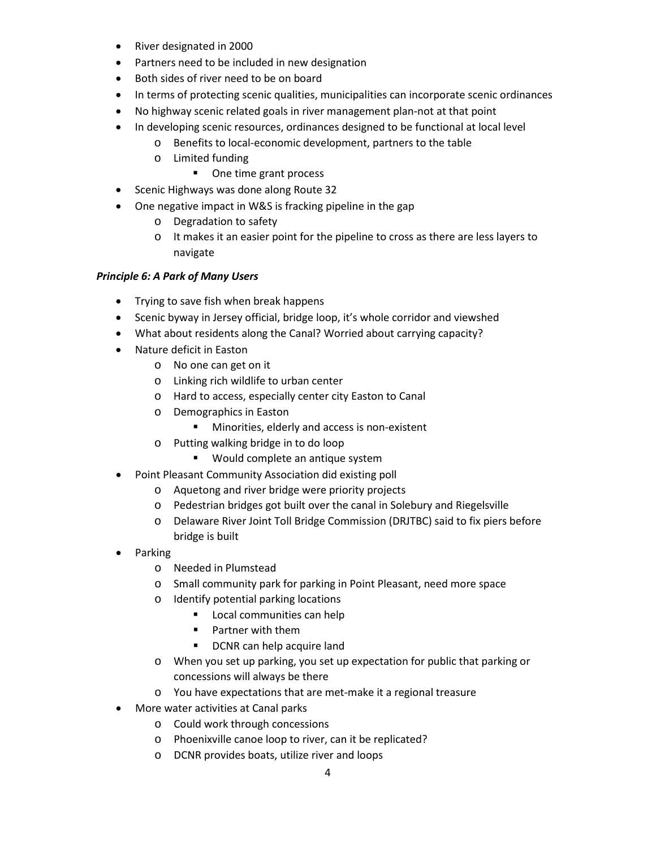- River designated in 2000
- Partners need to be included in new designation
- Both sides of river need to be on board
- In terms of protecting scenic qualities, municipalities can incorporate scenic ordinances
- No highway scenic related goals in river management plan-not at that point
- In developing scenic resources, ordinances designed to be functional at local level
	- o Benefits to local-economic development, partners to the table
	- o Limited funding
		- One time grant process
- Scenic Highways was done along Route 32
- One negative impact in W&S is fracking pipeline in the gap
	- o Degradation to safety
	- o It makes it an easier point for the pipeline to cross as there are less layers to navigate

#### *Principle 6: A Park of Many Users*

- Trying to save fish when break happens
- Scenic byway in Jersey official, bridge loop, it's whole corridor and viewshed
- What about residents along the Canal? Worried about carrying capacity?
- Nature deficit in Easton
	- o No one can get on it
	- o Linking rich wildlife to urban center
	- o Hard to access, especially center city Easton to Canal
	- o Demographics in Easton
		- **Minorities, elderly and access is non-existent**
	- o Putting walking bridge in to do loop
		- **Would complete an antique system**
- Point Pleasant Community Association did existing poll
	- o Aquetong and river bridge were priority projects
	- o Pedestrian bridges got built over the canal in Solebury and Riegelsville
	- o Delaware River Joint Toll Bridge Commission (DRJTBC) said to fix piers before bridge is built
- Parking
	- o Needed in Plumstead
	- o Small community park for parking in Point Pleasant, need more space
	- o Identify potential parking locations
		- **Local communities can help**
		- **Partner with them**
		- **DCNR can help acquire land**
	- o When you set up parking, you set up expectation for public that parking or concessions will always be there
	- o You have expectations that are met-make it a regional treasure
- More water activities at Canal parks
	- o Could work through concessions
	- o Phoenixville canoe loop to river, can it be replicated?
	- o DCNR provides boats, utilize river and loops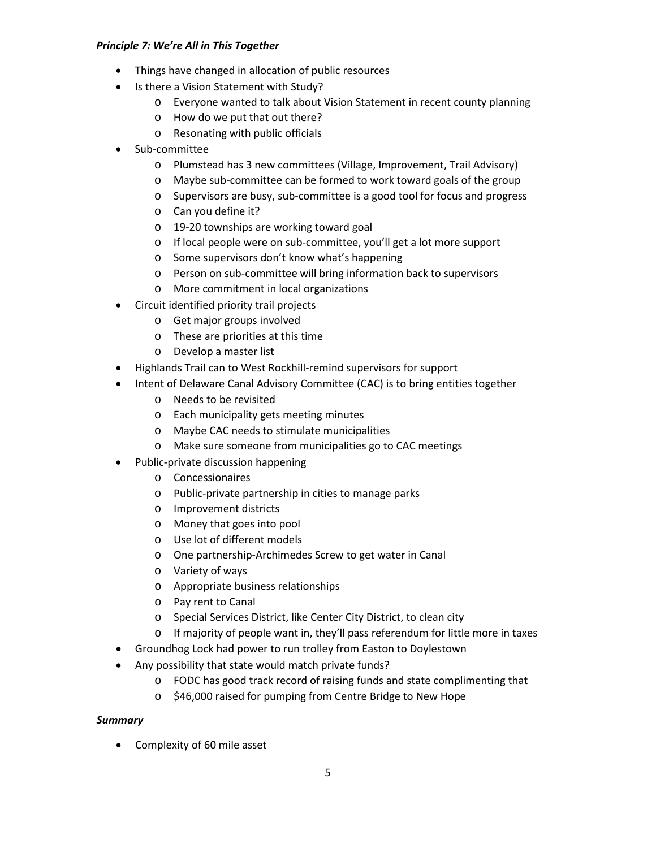#### *Principle 7: We're All in This Together*

- Things have changed in allocation of public resources
- Is there a Vision Statement with Study?
	- o Everyone wanted to talk about Vision Statement in recent county planning
	- o How do we put that out there?
	- o Resonating with public officials
- Sub-committee
	- o Plumstead has 3 new committees (Village, Improvement, Trail Advisory)
	- o Maybe sub-committee can be formed to work toward goals of the group
	- o Supervisors are busy, sub-committee is a good tool for focus and progress
	- o Can you define it?
	- o 19-20 townships are working toward goal
	- o If local people were on sub-committee, you'll get a lot more support
	- o Some supervisors don't know what's happening
	- o Person on sub-committee will bring information back to supervisors
	- o More commitment in local organizations
- Circuit identified priority trail projects
	- o Get major groups involved
	- o These are priorities at this time
	- o Develop a master list
- Highlands Trail can to West Rockhill-remind supervisors for support
- Intent of Delaware Canal Advisory Committee (CAC) is to bring entities together
	- o Needs to be revisited
	- o Each municipality gets meeting minutes
	- o Maybe CAC needs to stimulate municipalities
	- o Make sure someone from municipalities go to CAC meetings
- Public-private discussion happening
	- o Concessionaires
	- o Public-private partnership in cities to manage parks
	- o Improvement districts
	- o Money that goes into pool
	- o Use lot of different models
	- o One partnership-Archimedes Screw to get water in Canal
	- o Variety of ways
	- o Appropriate business relationships
	- o Pay rent to Canal
	- o Special Services District, like Center City District, to clean city
	- $\circ$  If majority of people want in, they'll pass referendum for little more in taxes
- Groundhog Lock had power to run trolley from Easton to Doylestown
- Any possibility that state would match private funds?
	- o FODC has good track record of raising funds and state complimenting that
	- o \$46,000 raised for pumping from Centre Bridge to New Hope

#### *Summary*

• Complexity of 60 mile asset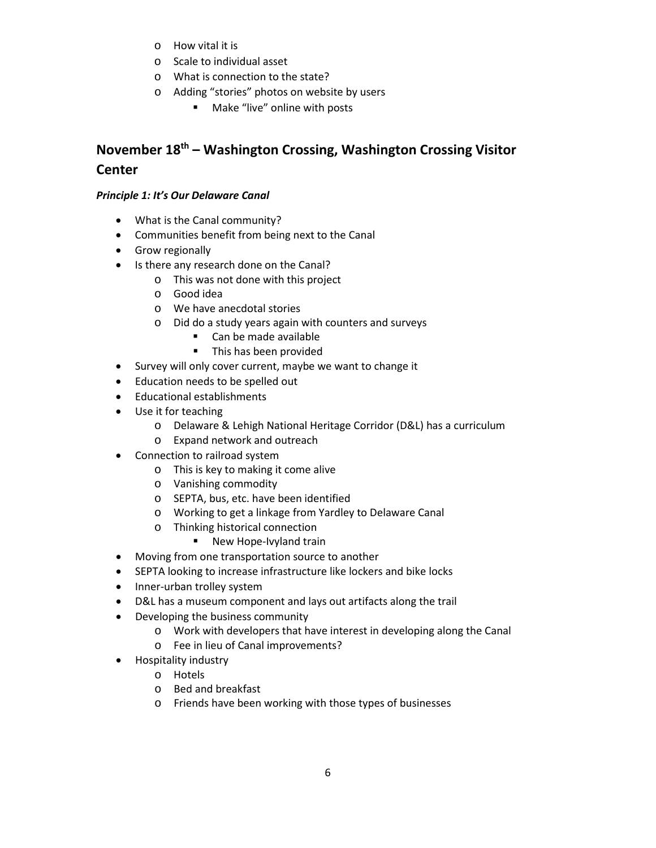- o How vital it is
- o Scale to individual asset
- o What is connection to the state?
- o Adding "stories" photos on website by users
	- **Make "live" online with posts**

# **November 18th – Washington Crossing, Washington Crossing Visitor Center**

#### *Principle 1: It's Our Delaware Canal*

- What is the Canal community?
- Communities benefit from being next to the Canal
- Grow regionally
- Is there any research done on the Canal?
	- o This was not done with this project
	- o Good idea
	- o We have anecdotal stories
	- o Did do a study years again with counters and surveys
		- Can be made available
		- **This has been provided**
- Survey will only cover current, maybe we want to change it
- Education needs to be spelled out
- Educational establishments
- Use it for teaching
	- o Delaware & Lehigh National Heritage Corridor (D&L) has a curriculum
	- o Expand network and outreach
- Connection to railroad system
	- o This is key to making it come alive
	- o Vanishing commodity
	- o SEPTA, bus, etc. have been identified
	- o Working to get a linkage from Yardley to Delaware Canal
	- o Thinking historical connection
		- New Hope-Ivyland train
- Moving from one transportation source to another
- SEPTA looking to increase infrastructure like lockers and bike locks
- Inner-urban trolley system
- D&L has a museum component and lays out artifacts along the trail
- Developing the business community
	- o Work with developers that have interest in developing along the Canal
	- o Fee in lieu of Canal improvements?
- Hospitality industry
	- o Hotels
	- o Bed and breakfast
	- o Friends have been working with those types of businesses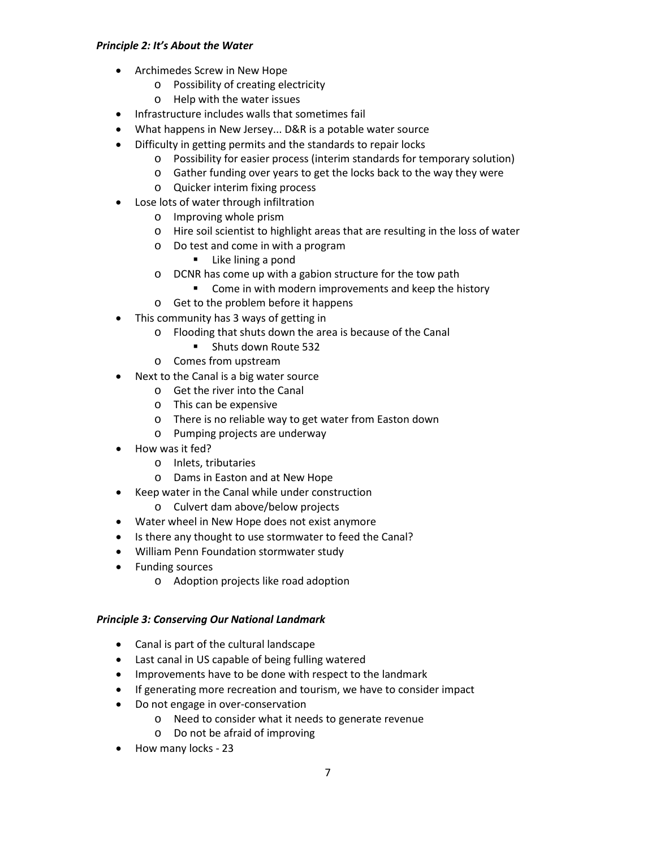#### *Principle 2: It's About the Water*

- Archimedes Screw in New Hope
	- o Possibility of creating electricity
	- o Help with the water issues
- Infrastructure includes walls that sometimes fail
- What happens in New Jersey... D&R is a potable water source
- Difficulty in getting permits and the standards to repair locks
	- o Possibility for easier process (interim standards for temporary solution)
	- o Gather funding over years to get the locks back to the way they were
	- o Quicker interim fixing process
- Lose lots of water through infiltration
	- o Improving whole prism
	- o Hire soil scientist to highlight areas that are resulting in the loss of water
	- o Do test and come in with a program
		- **Like lining a pond**
	- o DCNR has come up with a gabion structure for the tow path
		- **Come in with modern improvements and keep the history**
	- o Get to the problem before it happens
- This community has 3 ways of getting in
	- o Flooding that shuts down the area is because of the Canal
		- **Shuts down Route 532**
	- o Comes from upstream
- Next to the Canal is a big water source
	- o Get the river into the Canal
	- o This can be expensive
	- o There is no reliable way to get water from Easton down
	- o Pumping projects are underway
- How was it fed?
	- o Inlets, tributaries
	- o Dams in Easton and at New Hope
- Keep water in the Canal while under construction
	- o Culvert dam above/below projects
- Water wheel in New Hope does not exist anymore
- Is there any thought to use stormwater to feed the Canal?
- William Penn Foundation stormwater study
- Funding sources
	- o Adoption projects like road adoption

#### *Principle 3: Conserving Our National Landmark*

- Canal is part of the cultural landscape
- Last canal in US capable of being fulling watered
- Improvements have to be done with respect to the landmark
- If generating more recreation and tourism, we have to consider impact
- Do not engage in over-conservation
	- o Need to consider what it needs to generate revenue
	- o Do not be afraid of improving
- How many locks 23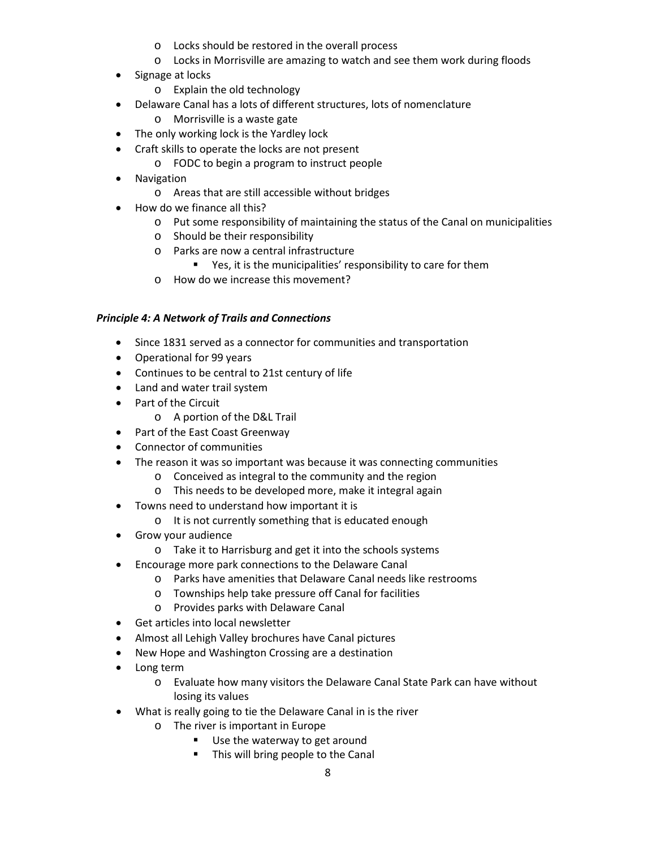- o Locks should be restored in the overall process
- o Locks in Morrisville are amazing to watch and see them work during floods
- Signage at locks
	- o Explain the old technology
- Delaware Canal has a lots of different structures, lots of nomenclature
	- o Morrisville is a waste gate
- The only working lock is the Yardley lock
- Craft skills to operate the locks are not present
	- o FODC to begin a program to instruct people
- Navigation
	- o Areas that are still accessible without bridges
- How do we finance all this?
	- o Put some responsibility of maintaining the status of the Canal on municipalities
	- o Should be their responsibility
	- o Parks are now a central infrastructure
		- Yes, it is the municipalities' responsibility to care for them
	- o How do we increase this movement?

#### *Principle 4: A Network of Trails and Connections*

- Since 1831 served as a connector for communities and transportation
- Operational for 99 years
- Continues to be central to 21st century of life
- Land and water trail system
- Part of the Circuit
	- o A portion of the D&L Trail
- Part of the East Coast Greenway
- Connector of communities
- The reason it was so important was because it was connecting communities
	- o Conceived as integral to the community and the region
	- o This needs to be developed more, make it integral again
- Towns need to understand how important it is
	- o It is not currently something that is educated enough
- Grow your audience
	- o Take it to Harrisburg and get it into the schools systems
- Encourage more park connections to the Delaware Canal
	- o Parks have amenities that Delaware Canal needs like restrooms
	- o Townships help take pressure off Canal for facilities
	- o Provides parks with Delaware Canal
- Get articles into local newsletter
- Almost all Lehigh Valley brochures have Canal pictures
- New Hope and Washington Crossing are a destination
- Long term
	- o Evaluate how many visitors the Delaware Canal State Park can have without losing its values
- What is really going to tie the Delaware Canal in is the river
	- o The river is important in Europe
		- Use the waterway to get around
		- **This will bring people to the Canal**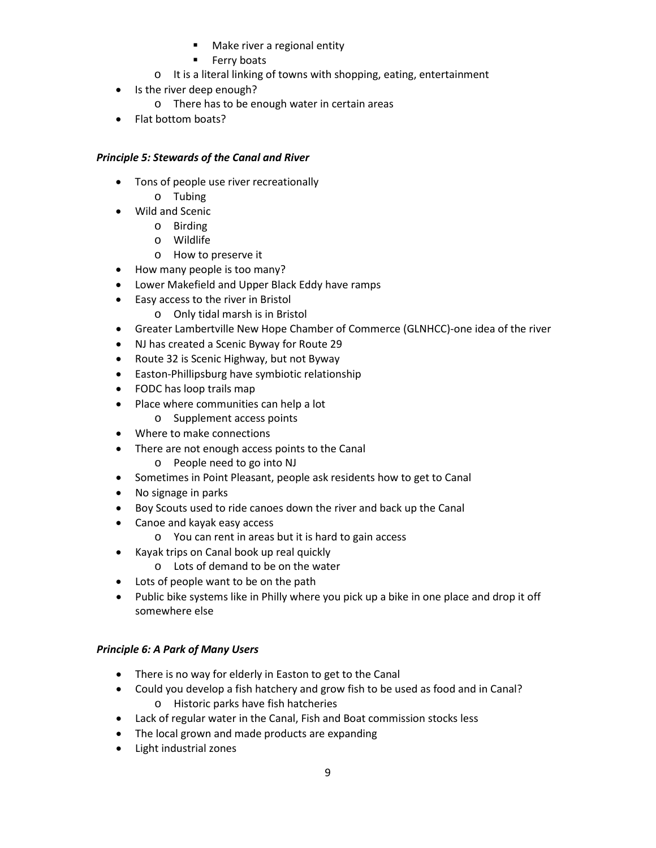- **Make river a regional entity**
- **Ferry boats**
- o It is a literal linking of towns with shopping, eating, entertainment
- Is the river deep enough?
	- o There has to be enough water in certain areas
- Flat bottom boats?

### *Principle 5: Stewards of the Canal and River*

- Tons of people use river recreationally
	- o Tubing
- Wild and Scenic
	- o Birding
	- o Wildlife
	- o How to preserve it
- How many people is too many?
- Lower Makefield and Upper Black Eddy have ramps
- Easy access to the river in Bristol
	- o Only tidal marsh is in Bristol
- Greater Lambertville New Hope Chamber of Commerce (GLNHCC)-one idea of the river
- NJ has created a Scenic Byway for Route 29
- Route 32 is Scenic Highway, but not Byway
- Easton-Phillipsburg have symbiotic relationship
- FODC has loop trails map
- Place where communities can help a lot
	- o Supplement access points
- Where to make connections
- There are not enough access points to the Canal
	- o People need to go into NJ
- Sometimes in Point Pleasant, people ask residents how to get to Canal
- No signage in parks
- Boy Scouts used to ride canoes down the river and back up the Canal
- Canoe and kayak easy access
	- o You can rent in areas but it is hard to gain access
- Kayak trips on Canal book up real quickly
	- o Lots of demand to be on the water
- Lots of people want to be on the path
- Public bike systems like in Philly where you pick up a bike in one place and drop it off somewhere else

## *Principle 6: A Park of Many Users*

- There is no way for elderly in Easton to get to the Canal
- Could you develop a fish hatchery and grow fish to be used as food and in Canal? o Historic parks have fish hatcheries
- Lack of regular water in the Canal, Fish and Boat commission stocks less
- The local grown and made products are expanding
- Light industrial zones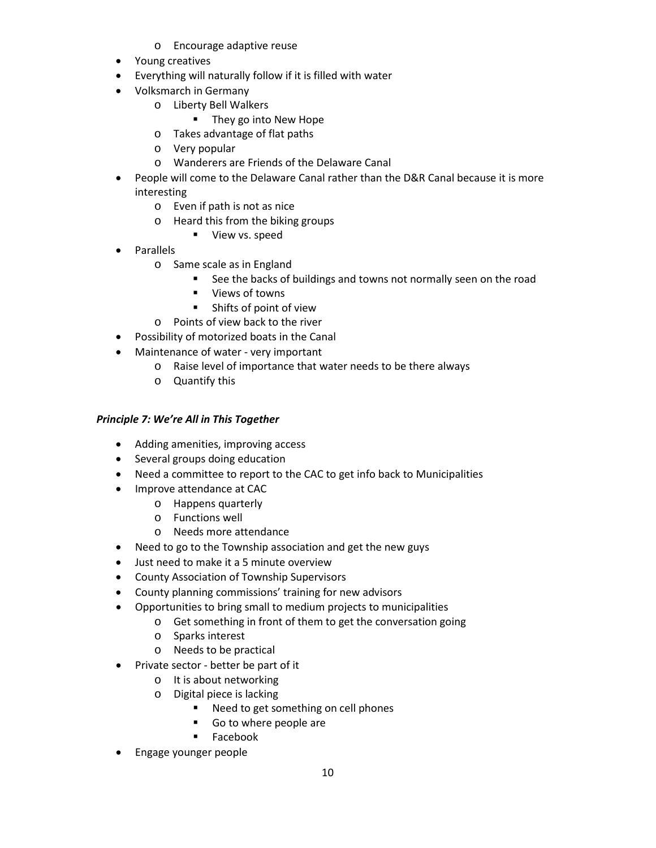- o Encourage adaptive reuse
- Young creatives
- Everything will naturally follow if it is filled with water
- Volksmarch in Germany
	- o Liberty Bell Walkers
		- **They go into New Hope**
	- o Takes advantage of flat paths
	- o Very popular
	- o Wanderers are Friends of the Delaware Canal
- People will come to the Delaware Canal rather than the D&R Canal because it is more interesting
	- o Even if path is not as nice
	- o Heard this from the biking groups
		- **view vs. speed**
- Parallels
	- o Same scale as in England
		- **See the backs of buildings and towns not normally seen on the road**
		- **U** Views of towns
		- Shifts of point of view
	- o Points of view back to the river
- Possibility of motorized boats in the Canal
- Maintenance of water very important
	- o Raise level of importance that water needs to be there always
	- o Quantify this

#### *Principle 7: We're All in This Together*

- Adding amenities, improving access
- Several groups doing education
- Need a committee to report to the CAC to get info back to Municipalities
- Improve attendance at CAC
	- o Happens quarterly
	- o Functions well
	- o Needs more attendance
- Need to go to the Township association and get the new guys
- Just need to make it a 5 minute overview
- County Association of Township Supervisors
- County planning commissions' training for new advisors
- Opportunities to bring small to medium projects to municipalities
	- o Get something in front of them to get the conversation going
	- o Sparks interest
	- o Needs to be practical
- Private sector better be part of it
	- o It is about networking
	- o Digital piece is lacking
		- Need to get something on cell phones
		- Go to where people are
		- Facebook
- Engage younger people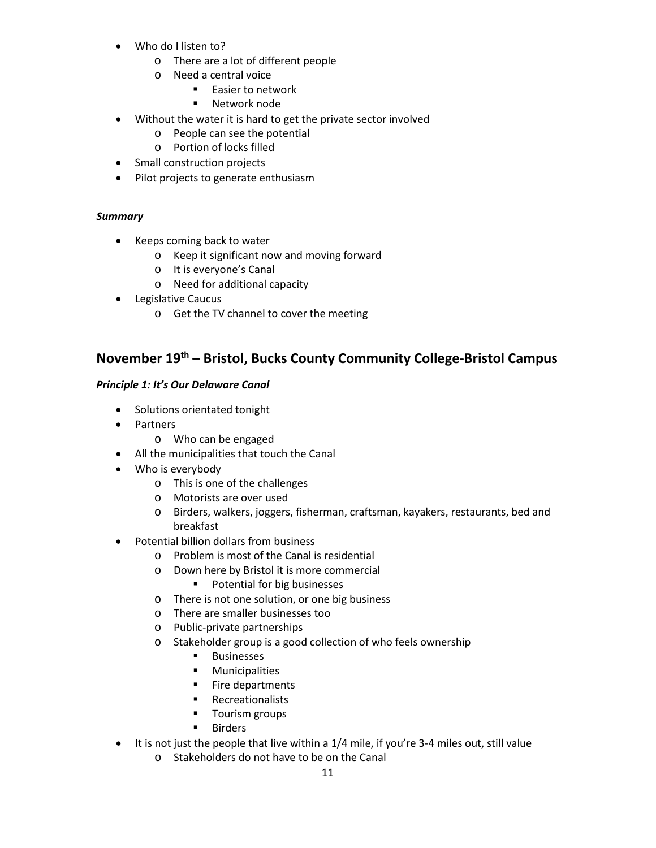- Who do I listen to?
	- o There are a lot of different people
	- o Need a central voice
		- **Easier to network**
		- **Network node**
- Without the water it is hard to get the private sector involved
	- o People can see the potential
	- o Portion of locks filled
- Small construction projects
- Pilot projects to generate enthusiasm

#### *Summary*

- Keeps coming back to water
	- o Keep it significant now and moving forward
	- o It is everyone's Canal
	- o Need for additional capacity
- Legislative Caucus
	- o Get the TV channel to cover the meeting

## **November 19th – Bristol, Bucks County Community College-Bristol Campus**

#### *Principle 1: It's Our Delaware Canal*

- Solutions orientated tonight
- Partners
	- o Who can be engaged
- All the municipalities that touch the Canal
- Who is everybody
	- o This is one of the challenges
	- o Motorists are over used
	- o Birders, walkers, joggers, fisherman, craftsman, kayakers, restaurants, bed and breakfast
- Potential billion dollars from business
	- o Problem is most of the Canal is residential
	- o Down here by Bristol it is more commercial
		- **Potential for big businesses**
	- o There is not one solution, or one big business
	- o There are smaller businesses too
	- o Public-private partnerships
	- o Stakeholder group is a good collection of who feels ownership
		- **Businesses**
		- **■** Municipalities
		- **Fire departments**
		- **Recreationalists**
		- **Tourism groups**
		- **Birders**
- It is not just the people that live within a 1/4 mile, if you're 3-4 miles out, still value
	- o Stakeholders do not have to be on the Canal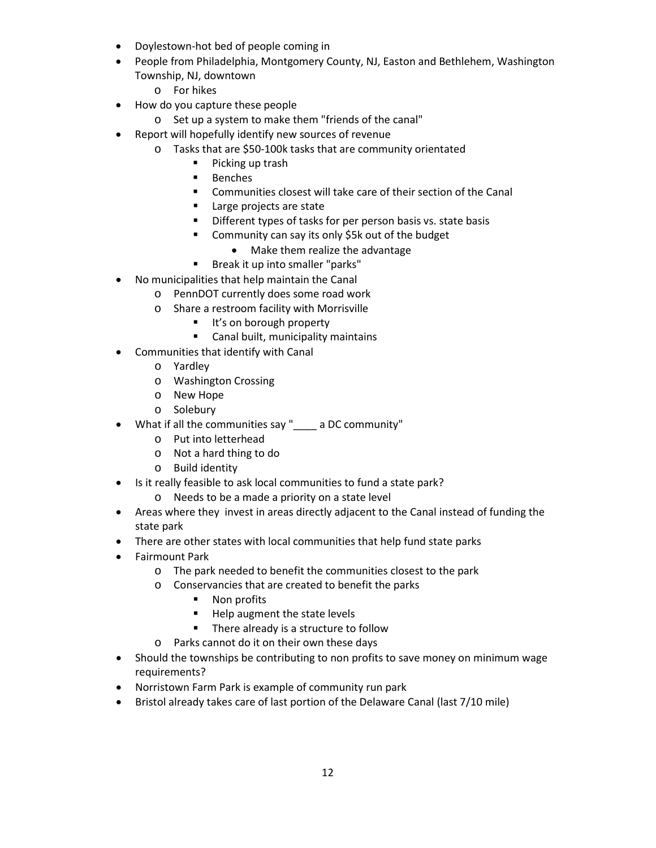- Doylestown-hot bed of people coming in
- People from Philadelphia, Montgomery County, NJ, Easton and Bethlehem, Washington Township, NJ, downtown
	- o For hikes
- How do you capture these people
	- o Set up a system to make them "friends of the canal"
- Report will hopefully identify new sources of revenue
	- o Tasks that are \$50-100k tasks that are community orientated
		- **Picking up trash**
		- **Benches**
		- Communities closest will take care of their section of the Canal
		- **Large projects are state**
		- **Different types of tasks for per person basis vs. state basis**
		- Community can say its only \$5k out of the budget
			- Make them realize the advantage
		- **Break it up into smaller "parks"**
- No municipalities that help maintain the Canal
	- o PennDOT currently does some road work
		- o Share a restroom facility with Morrisville
			- It's on borough property
			- **EXEC** Canal built, municipality maintains
- Communities that identify with Canal
	- o Yardley
	- o Washington Crossing
	- o New Hope
	- o Solebury
- What if all the communities say " a DC community"
	- o Put into letterhead
	- o Not a hard thing to do
	- o Build identity
- Is it really feasible to ask local communities to fund a state park?
	- o Needs to be a made a priority on a state level
- Areas where they invest in areas directly adjacent to the Canal instead of funding the state park
- There are other states with local communities that help fund state parks
- Fairmount Park
	- o The park needed to benefit the communities closest to the park
	- o Conservancies that are created to benefit the parks
		- Non profits
		- **Help augment the state levels**
		- **There already is a structure to follow**
	- o Parks cannot do it on their own these days
- Should the townships be contributing to non profits to save money on minimum wage requirements?
- Norristown Farm Park is example of community run park
- Bristol already takes care of last portion of the Delaware Canal (last 7/10 mile)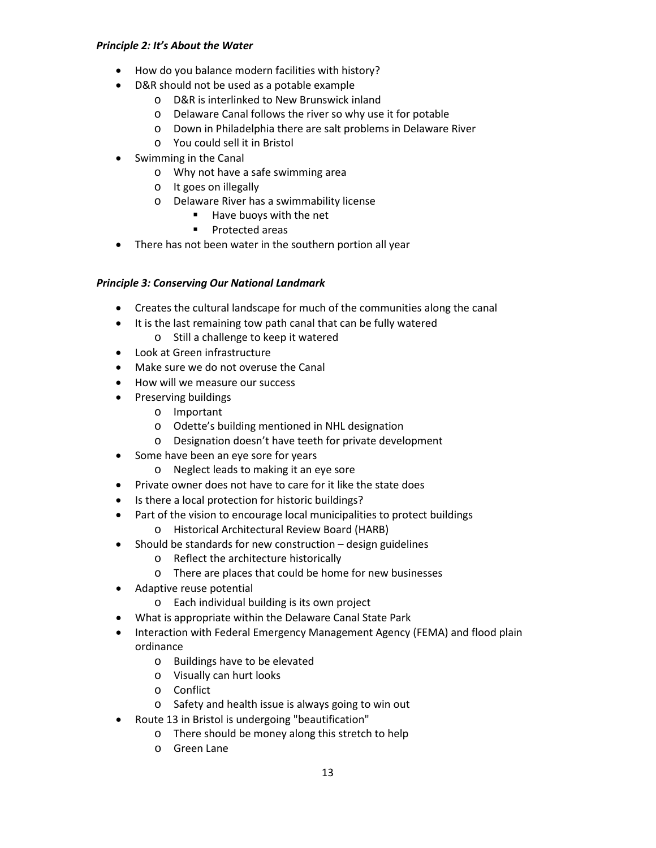#### *Principle 2: It's About the Water*

- How do you balance modern facilities with history?
- D&R should not be used as a potable example
	- o D&R is interlinked to New Brunswick inland
	- o Delaware Canal follows the river so why use it for potable
	- o Down in Philadelphia there are salt problems in Delaware River
	- o You could sell it in Bristol
- Swimming in the Canal
	- o Why not have a safe swimming area
	- o It goes on illegally
	- o Delaware River has a swimmability license
		- $\blacksquare$  Have buoys with the net
		- **Protected areas**
- There has not been water in the southern portion all year

## *Principle 3: Conserving Our National Landmark*

- Creates the cultural landscape for much of the communities along the canal
- It is the last remaining tow path canal that can be fully watered
	- o Still a challenge to keep it watered
- Look at Green infrastructure
- Make sure we do not overuse the Canal
- How will we measure our success
- Preserving buildings
	- o Important
	- o Odette's building mentioned in NHL designation
	- o Designation doesn't have teeth for private development
- Some have been an eye sore for years
	- o Neglect leads to making it an eye sore
- Private owner does not have to care for it like the state does
- Is there a local protection for historic buildings?
- Part of the vision to encourage local municipalities to protect buildings
	- o Historical Architectural Review Board (HARB)
- Should be standards for new construction design guidelines
	- o Reflect the architecture historically
	- o There are places that could be home for new businesses
- Adaptive reuse potential
	- o Each individual building is its own project
- What is appropriate within the Delaware Canal State Park
- Interaction with Federal Emergency Management Agency (FEMA) and flood plain ordinance
	- o Buildings have to be elevated
	- o Visually can hurt looks
	- o Conflict
	- o Safety and health issue is always going to win out
- Route 13 in Bristol is undergoing "beautification"
	- o There should be money along this stretch to help
	- o Green Lane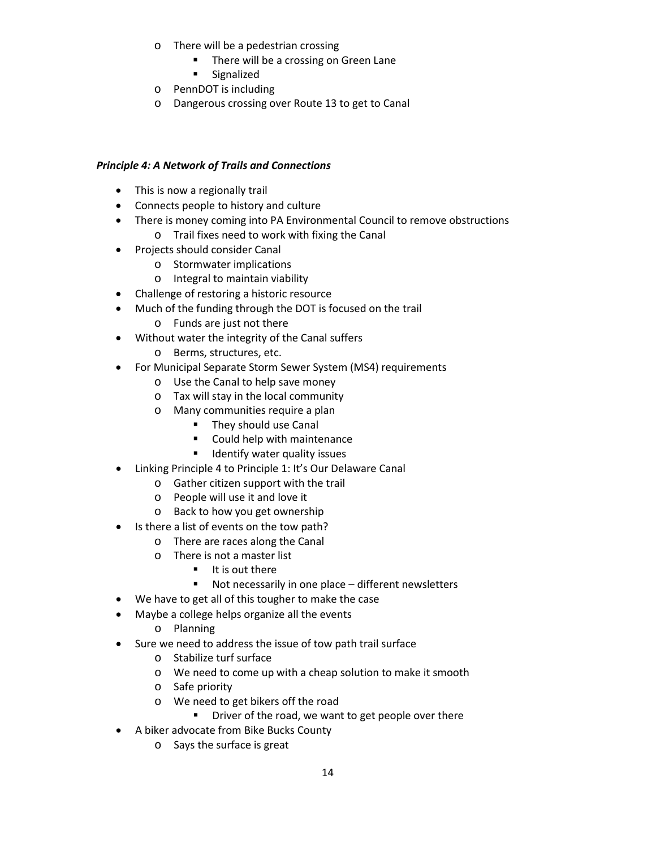- o There will be a pedestrian crossing
	- **There will be a crossing on Green Lane**
	- **Signalized**
- o PennDOT is including
- o Dangerous crossing over Route 13 to get to Canal

### *Principle 4: A Network of Trails and Connections*

- This is now a regionally trail
- Connects people to history and culture
- There is money coming into PA Environmental Council to remove obstructions
	- o Trail fixes need to work with fixing the Canal
- Projects should consider Canal
	- o Stormwater implications
	- o Integral to maintain viability
- Challenge of restoring a historic resource
- Much of the funding through the DOT is focused on the trail
	- o Funds are just not there
- Without water the integrity of the Canal suffers
	- o Berms, structures, etc.
- For Municipal Separate Storm Sewer System (MS4) requirements
	- o Use the Canal to help save money
	- o Tax will stay in the local community
	- o Many communities require a plan
		- **They should use Canal**
		- Could help with maintenance
		- **If** Identify water quality issues
- Linking Principle 4 to Principle 1: It's Our Delaware Canal
	- o Gather citizen support with the trail
	- o People will use it and love it
	- o Back to how you get ownership
- Is there a list of events on the tow path?
	- o There are races along the Canal
	- o There is not a master list
		- $\blacksquare$  It is out there
		- Not necessarily in one place different newsletters
- We have to get all of this tougher to make the case
- Maybe a college helps organize all the events
	- o Planning
- Sure we need to address the issue of tow path trail surface
	- o Stabilize turf surface
	- o We need to come up with a cheap solution to make it smooth
	- o Safe priority
	- o We need to get bikers off the road
		- **P** Driver of the road, we want to get people over there
- A biker advocate from Bike Bucks County
	- o Says the surface is great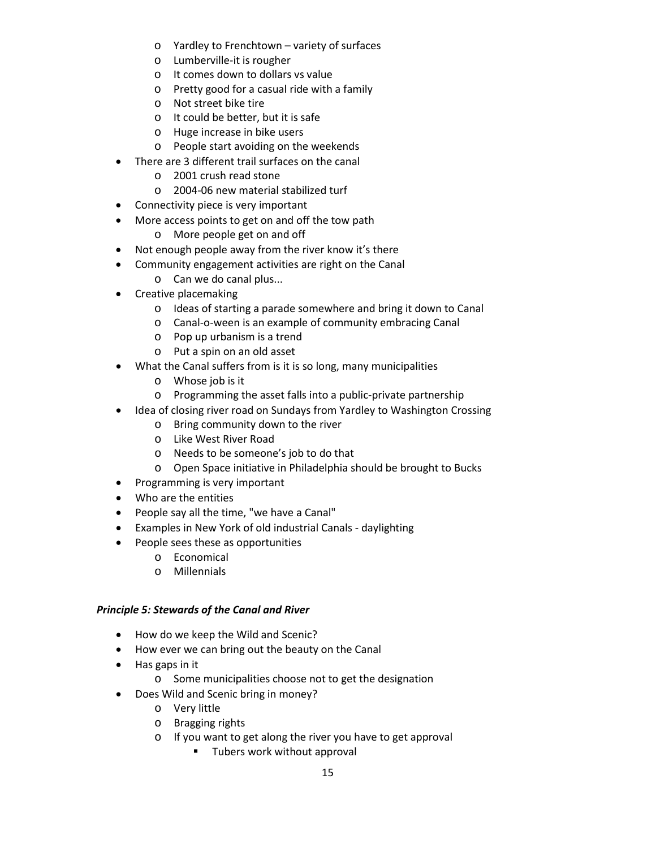- o Yardley to Frenchtown variety of surfaces
- o Lumberville-it is rougher
- o It comes down to dollars vs value
- o Pretty good for a casual ride with a family
- o Not street bike tire
- o It could be better, but it is safe
- o Huge increase in bike users
- o People start avoiding on the weekends
- There are 3 different trail surfaces on the canal
	- o 2001 crush read stone
	- o 2004-06 new material stabilized turf
- Connectivity piece is very important
- More access points to get on and off the tow path
	- o More people get on and off
- Not enough people away from the river know it's there
- Community engagement activities are right on the Canal
	- o Can we do canal plus...
- Creative placemaking
	- o Ideas of starting a parade somewhere and bring it down to Canal
	- o Canal-o-ween is an example of community embracing Canal
	- o Pop up urbanism is a trend
	- o Put a spin on an old asset
- What the Canal suffers from is it is so long, many municipalities
	- o Whose job is it
	- o Programming the asset falls into a public-private partnership
- Idea of closing river road on Sundays from Yardley to Washington Crossing
	- o Bring community down to the river
	- o Like West River Road
	- o Needs to be someone's job to do that
	- o Open Space initiative in Philadelphia should be brought to Bucks
- Programming is very important
- Who are the entities
- People say all the time, "we have a Canal"
- Examples in New York of old industrial Canals daylighting
- People sees these as opportunities
	- o Economical
	- o Millennials

#### *Principle 5: Stewards of the Canal and River*

- How do we keep the Wild and Scenic?
- How ever we can bring out the beauty on the Canal
- Has gaps in it
	- o Some municipalities choose not to get the designation
- Does Wild and Scenic bring in money?
	- o Very little
	- o Bragging rights
	- o If you want to get along the river you have to get approval
		- **Tubers work without approval**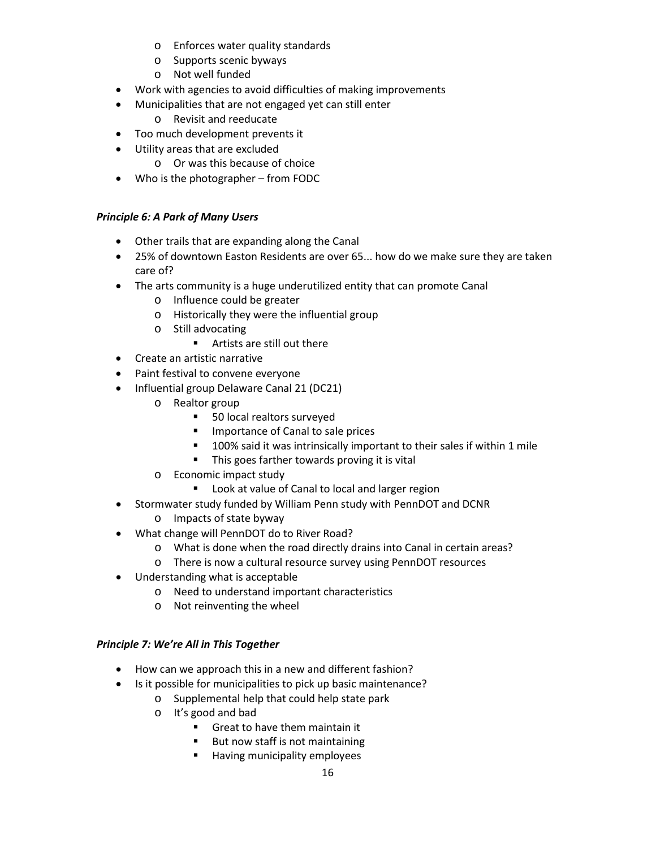- o Enforces water quality standards
- o Supports scenic byways
- o Not well funded
- Work with agencies to avoid difficulties of making improvements
- Municipalities that are not engaged yet can still enter
	- o Revisit and reeducate
- Too much development prevents it
- Utility areas that are excluded
	- o Or was this because of choice
- Who is the photographer from FODC

#### *Principle 6: A Park of Many Users*

- Other trails that are expanding along the Canal
- 25% of downtown Easton Residents are over 65... how do we make sure they are taken care of?
- The arts community is a huge underutilized entity that can promote Canal
	- o Influence could be greater
	- o Historically they were the influential group
	- o Still advocating
		- Artists are still out there
- Create an artistic narrative
- Paint festival to convene everyone
- Influential group Delaware Canal 21 (DC21)
	- o Realtor group
		- 50 local realtors surveyed
		- **Importance of Canal to sale prices**
		- 100% said it was intrinsically important to their sales if within 1 mile
		- This goes farther towards proving it is vital
	- o Economic impact study
		- **Look at value of Canal to local and larger region**
- Stormwater study funded by William Penn study with PennDOT and DCNR
	- o Impacts of state byway
- What change will PennDOT do to River Road?
	- o What is done when the road directly drains into Canal in certain areas?
	- o There is now a cultural resource survey using PennDOT resources
- Understanding what is acceptable
	- o Need to understand important characteristics
	- o Not reinventing the wheel

#### *Principle 7: We're All in This Together*

- How can we approach this in a new and different fashion?
- Is it possible for municipalities to pick up basic maintenance?
	- o Supplemental help that could help state park
	- o It's good and bad
		- Great to have them maintain it
		- **But now staff is not maintaining**
		- **Having municipality employees**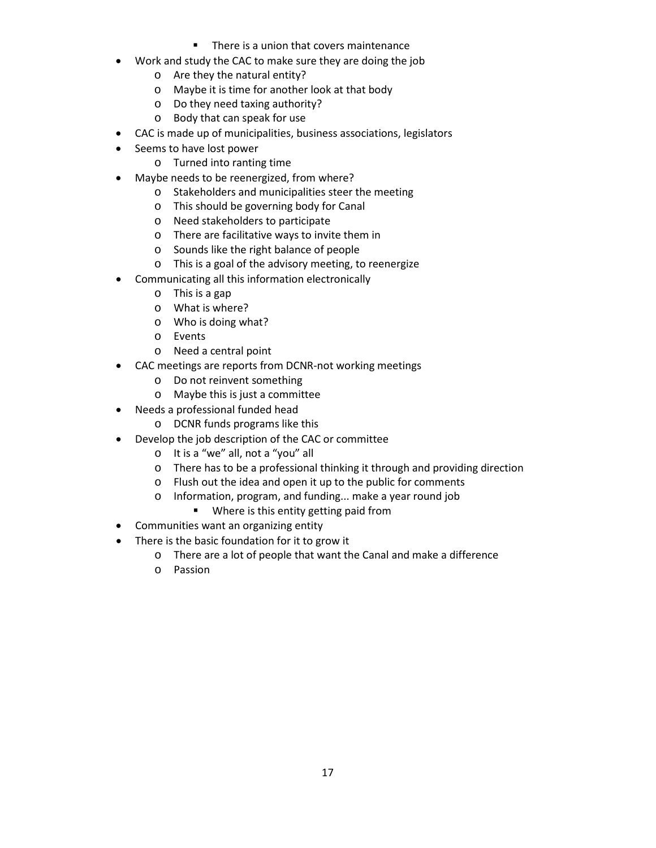- **There is a union that covers maintenance**
- Work and study the CAC to make sure they are doing the job
	- o Are they the natural entity?
	- o Maybe it is time for another look at that body
	- o Do they need taxing authority?
	- o Body that can speak for use
- CAC is made up of municipalities, business associations, legislators
- Seems to have lost power
	- o Turned into ranting time
- Maybe needs to be reenergized, from where?
	- o Stakeholders and municipalities steer the meeting
	- o This should be governing body for Canal
	- o Need stakeholders to participate
	- o There are facilitative ways to invite them in
	- o Sounds like the right balance of people
	- o This is a goal of the advisory meeting, to reenergize
	- Communicating all this information electronically
		- o This is a gap
		- o What is where?
		- o Who is doing what?
		- o Events
		- o Need a central point
- CAC meetings are reports from DCNR-not working meetings
	- o Do not reinvent something
	- o Maybe this is just a committee
- Needs a professional funded head
	- o DCNR funds programs like this
- Develop the job description of the CAC or committee
	- o It is a "we" all, not a "you" all
	- o There has to be a professional thinking it through and providing direction
	- o Flush out the idea and open it up to the public for comments
	- o Information, program, and funding... make a year round job
		- **Where is this entity getting paid from**
- Communities want an organizing entity
- There is the basic foundation for it to grow it
	- o There are a lot of people that want the Canal and make a difference
	- o Passion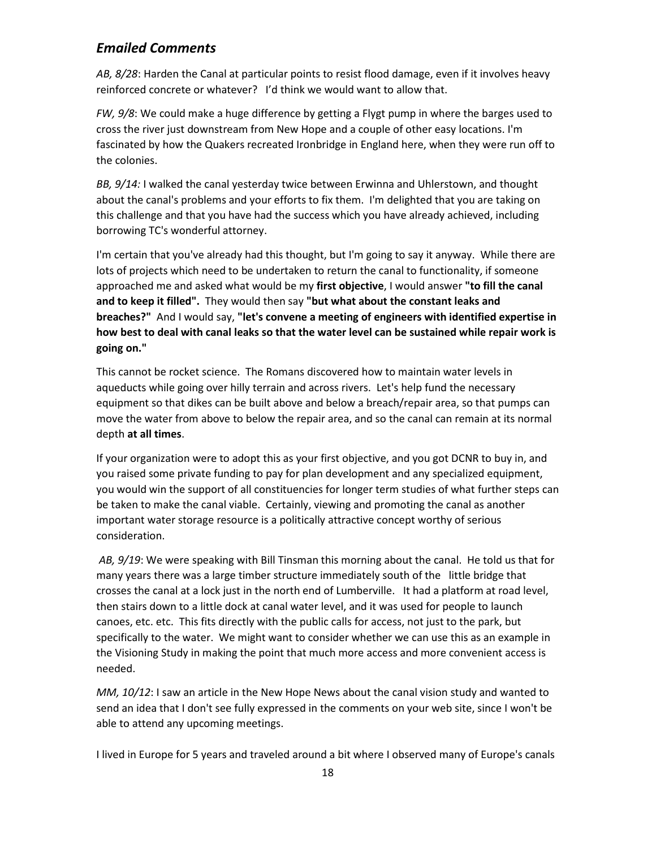## *Emailed Comments*

*AB, 8/28*: Harden the Canal at particular points to resist flood damage, even if it involves heavy reinforced concrete or whatever? I'd think we would want to allow that.

*FW, 9/8*: We could make a huge difference by getting a Flygt pump in where the barges used to cross the river just downstream from New Hope and a couple of other easy locations. I'm fascinated by how the Quakers recreated Ironbridge in England here, when they were run off to the colonies.

*BB, 9/14:* I walked the canal yesterday twice between Erwinna and Uhlerstown, and thought about the canal's problems and your efforts to fix them. I'm delighted that you are taking on this challenge and that you have had the success which you have already achieved, including borrowing TC's wonderful attorney.

I'm certain that you've already had this thought, but I'm going to say it anyway. While there are lots of projects which need to be undertaken to return the canal to functionality, if someone approached me and asked what would be my **first objective**, I would answer **"to fill the canal and to keep it filled".** They would then say **"but what about the constant leaks and breaches?"** And I would say, **"let's convene a meeting of engineers with identified expertise in how best to deal with canal leaks so that the water level can be sustained while repair work is going on."**

This cannot be rocket science. The Romans discovered how to maintain water levels in aqueducts while going over hilly terrain and across rivers. Let's help fund the necessary equipment so that dikes can be built above and below a breach/repair area, so that pumps can move the water from above to below the repair area, and so the canal can remain at its normal depth **at all times**.

If your organization were to adopt this as your first objective, and you got DCNR to buy in, and you raised some private funding to pay for plan development and any specialized equipment, you would win the support of all constituencies for longer term studies of what further steps can be taken to make the canal viable. Certainly, viewing and promoting the canal as another important water storage resource is a politically attractive concept worthy of serious consideration.

*AB, 9/19*: We were speaking with Bill Tinsman this morning about the canal. He told us that for many years there was a large timber structure immediately south of the little bridge that crosses the canal at a lock just in the north end of Lumberville. It had a platform at road level, then stairs down to a little dock at canal water level, and it was used for people to launch canoes, etc. etc. This fits directly with the public calls for access, not just to the park, but specifically to the water. We might want to consider whether we can use this as an example in the Visioning Study in making the point that much more access and more convenient access is needed.

*MM, 10/12*: I saw an article in the New Hope News about the canal vision study and wanted to send an idea that I don't see fully expressed in the comments on your web site, since I won't be able to attend any upcoming meetings.

I lived in Europe for 5 years and traveled around a bit where I observed many of Europe's canals